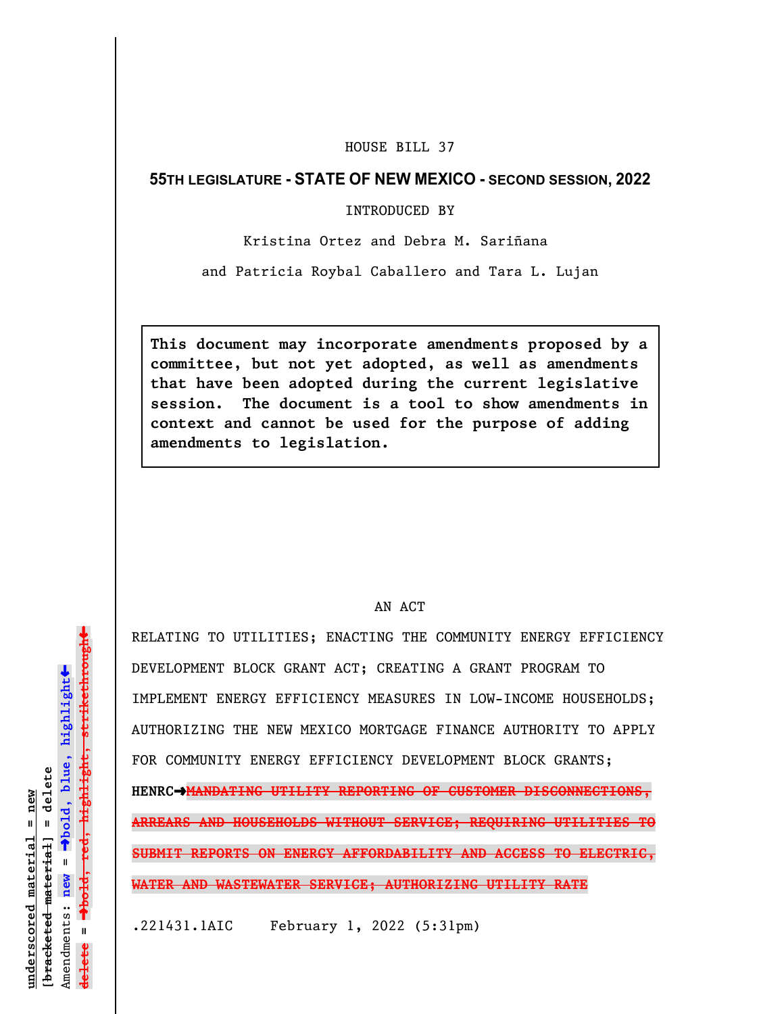# HOUSE BILL 37

## **55TH LEGISLATURE - STATE OF NEW MEXICO - SECOND SESSION, 2022**

### INTRODUCED BY

Kristina Ortez and Debra M. Sariñana

and Patricia Roybal Caballero and Tara L. Lujan

**This document may incorporate amendments proposed by a committee, but not yet adopted, as well as amendments that have been adopted during the current legislative session. The document is a tool to show amendments in context and cannot be used for the purpose of adding amendments to legislation.**

### AN ACT

RELATING TO UTILITIES; ENACTING THE COMMUNITY ENERGY EFFICIENCY DEVELOPMENT BLOCK GRANT ACT; CREATING A GRANT PROGRAM TO IMPLEMENT ENERGY EFFICIENCY MEASURES IN LOW-INCOME HOUSEHOLDS; AUTHORIZING THE NEW MEXICO MORTGAGE FINANCE AUTHORITY TO APPLY FOR COMMUNITY ENERGY EFFICIENCY DEVELOPMENT BLOCK GRANTS; **HENRC**º**MANDATING UTILITY REPORTING OF CUSTOMER DISCONNECTIONS, ARREARS AND HOUSEHOLDS WITHOUT SERVICE; REQUIRING UTILITIES TO SUBMIT REPORTS ON ENERGY AFFORDABILITY AND ACCESS TO ELECTRIC, WATER AND WASTEWATER SERVICE; AUTHORIZING UTILITY RATE**

.221431.1AIC February 1, 2022 (5:31pm)

 $\ddag$ º**bold, red, highlight, strikethrough**  $\ddot{\bullet}$ º**bold, blue, highlight**  $b$ racketed material] = delete **[bracketed material] = delete** inderscored material = new **underscored material = new** Amendments: **new** =  $\mathbf{u}$ **delete =** lelete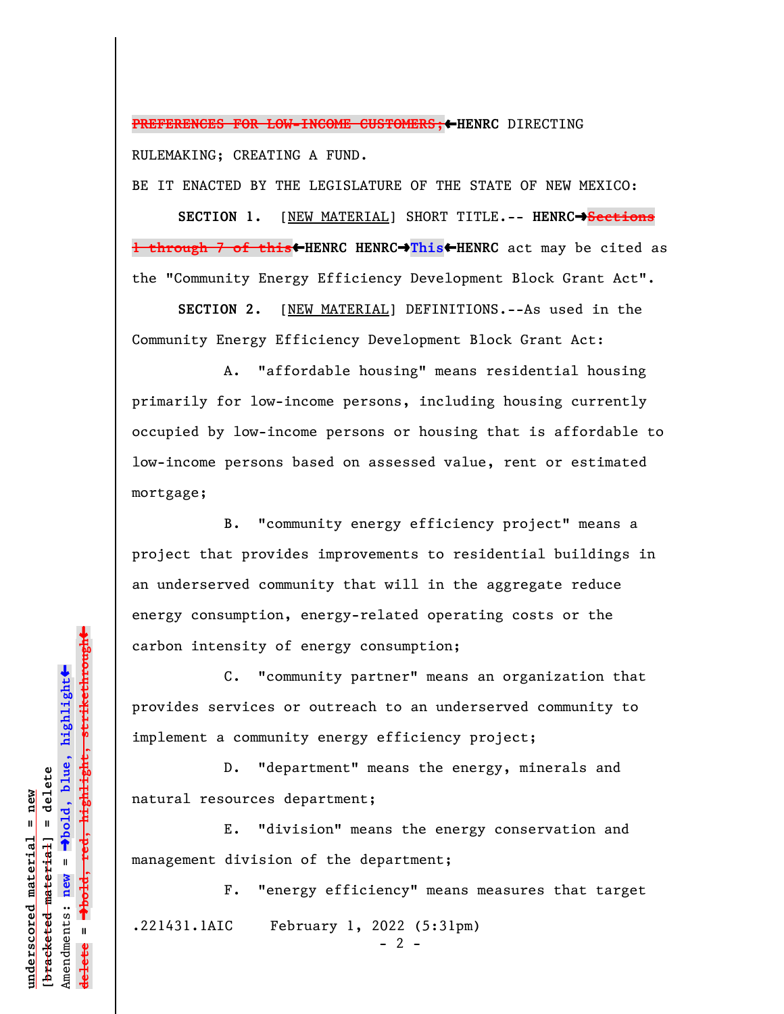**PREFERENCES FOR LOW-INCOME CUSTOMERS;**»**HENRC** DIRECTING RULEMAKING; CREATING A FUND.

BE IT ENACTED BY THE LEGISLATURE OF THE STATE OF NEW MEXICO:

**SECTION 1.** [NEW MATERIAL] SHORT TITLE.-- HENRC $\rightarrow$ Sections **1 through 7 of this**»**HENRC HENRC**º**This**»**HENRC** act may be cited as the "Community Energy Efficiency Development Block Grant Act".

**SECTION 2.** [NEW MATERIAL] DEFINITIONS.--As used in the Community Energy Efficiency Development Block Grant Act:

A. "affordable housing" means residential housing primarily for low-income persons, including housing currently occupied by low-income persons or housing that is affordable to low-income persons based on assessed value, rent or estimated mortgage;

B. "community energy efficiency project" means a project that provides improvements to residential buildings in an underserved community that will in the aggregate reduce energy consumption, energy-related operating costs or the carbon intensity of energy consumption;

C. "community partner" means an organization that provides services or outreach to an underserved community to implement a community energy efficiency project;

D. "department" means the energy, minerals and natural resources department;

E. "division" means the energy conservation and management division of the department;

F. "energy efficiency" means measures that target .221431.1AIC February 1, 2022 (5:31pm)  $- 2 -$ 

º**bold, red, highlight, strikethrough**  $\ddot{\bullet}$ º**bold, blue, highlight**  $b$ racketed material] = delete **[bracketed material] = delete** inderscored material = new **underscored material = new** Amendments: new = Amendments: **new** = **delete =**

 $\ddag$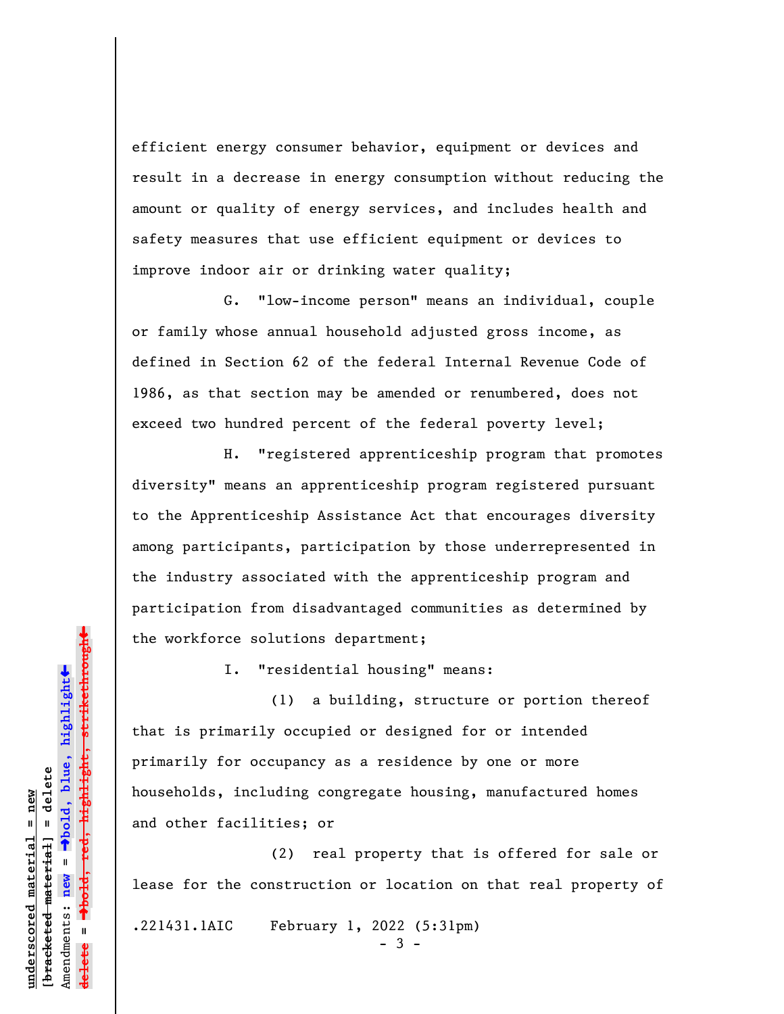efficient energy consumer behavior, equipment or devices and result in a decrease in energy consumption without reducing the amount or quality of energy services, and includes health and safety measures that use efficient equipment or devices to improve indoor air or drinking water quality;

G. "low-income person" means an individual, couple or family whose annual household adjusted gross income, as defined in Section 62 of the federal Internal Revenue Code of 1986, as that section may be amended or renumbered, does not exceed two hundred percent of the federal poverty level;

H. "registered apprenticeship program that promotes diversity" means an apprenticeship program registered pursuant to the Apprenticeship Assistance Act that encourages diversity among participants, participation by those underrepresented in the industry associated with the apprenticeship program and participation from disadvantaged communities as determined by the workforce solutions department;

I. "residential housing" means:

(1) a building, structure or portion thereof that is primarily occupied or designed for or intended primarily for occupancy as a residence by one or more households, including congregate housing, manufactured homes and other facilities; or

(2) real property that is offered for sale or lease for the construction or location on that real property of

.221431.1AIC February 1, 2022 (5:31pm)

- 3 -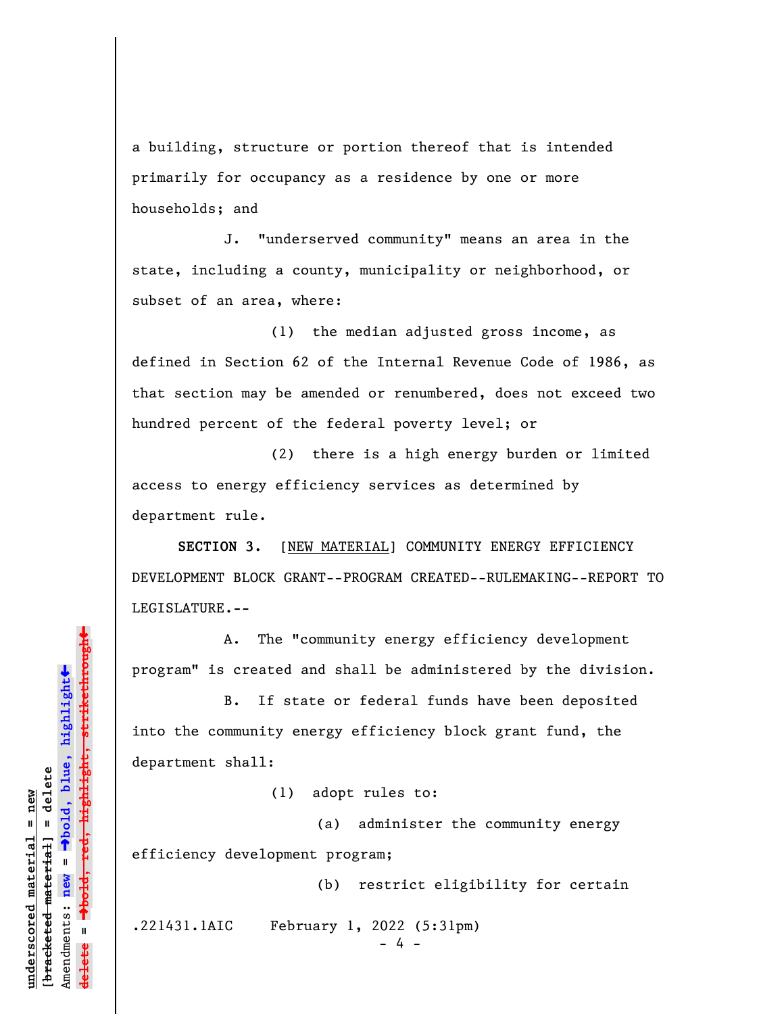a building, structure or portion thereof that is intended primarily for occupancy as a residence by one or more households; and

J. "underserved community" means an area in the state, including a county, municipality or neighborhood, or subset of an area, where:

(1) the median adjusted gross income, as defined in Section 62 of the Internal Revenue Code of 1986, as that section may be amended or renumbered, does not exceed two hundred percent of the federal poverty level; or

(2) there is a high energy burden or limited access to energy efficiency services as determined by department rule.

**SECTION 3.** [NEW MATERIAL] COMMUNITY ENERGY EFFICIENCY DEVELOPMENT BLOCK GRANT--PROGRAM CREATED--RULEMAKING--REPORT TO LEGISLATURE.--

A. The "community energy efficiency development program" is created and shall be administered by the division.

B. If state or federal funds have been deposited into the community energy efficiency block grant fund, the department shall:

(1) adopt rules to:

(a) administer the community energy efficiency development program;

(b) restrict eligibility for certain

.221431.1AIC February 1, 2022 (5:31pm)

- 4 -

»º**bold, red, highlight, strikethrough**  $\ddot{\bullet}$ º**bold, blue, highlight** bracketed material] = delete **[bracketed material] = delete** inderscored material = new **underscored material = new** Amendments: **new** =  $\mathbf{u}$ Amendments: new **delete =**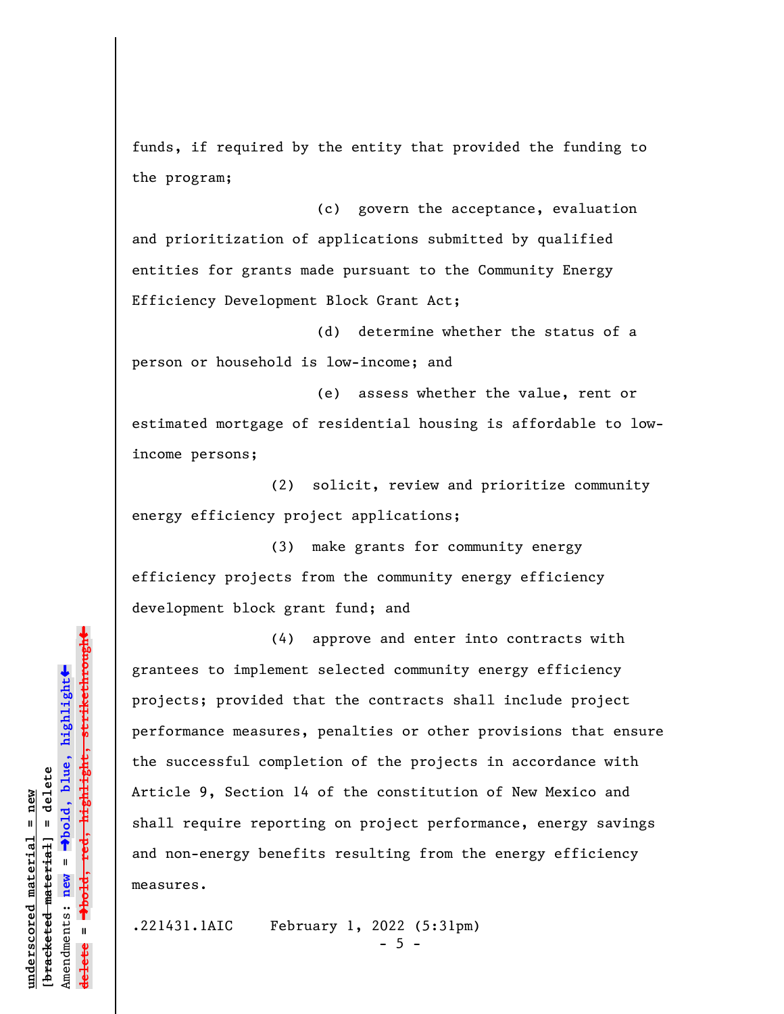funds, if required by the entity that provided the funding to the program;

(c) govern the acceptance, evaluation and prioritization of applications submitted by qualified entities for grants made pursuant to the Community Energy Efficiency Development Block Grant Act;

(d) determine whether the status of a person or household is low-income; and

(e) assess whether the value, rent or estimated mortgage of residential housing is affordable to lowincome persons;

(2) solicit, review and prioritize community energy efficiency project applications;

(3) make grants for community energy efficiency projects from the community energy efficiency development block grant fund; and

(4) approve and enter into contracts with grantees to implement selected community energy efficiency projects; provided that the contracts shall include project performance measures, penalties or other provisions that ensure the successful completion of the projects in accordance with Article 9, Section 14 of the constitution of New Mexico and shall require reporting on project performance, energy savings and non-energy benefits resulting from the energy efficiency measures.

.221431.1AIC February 1, 2022 (5:31pm)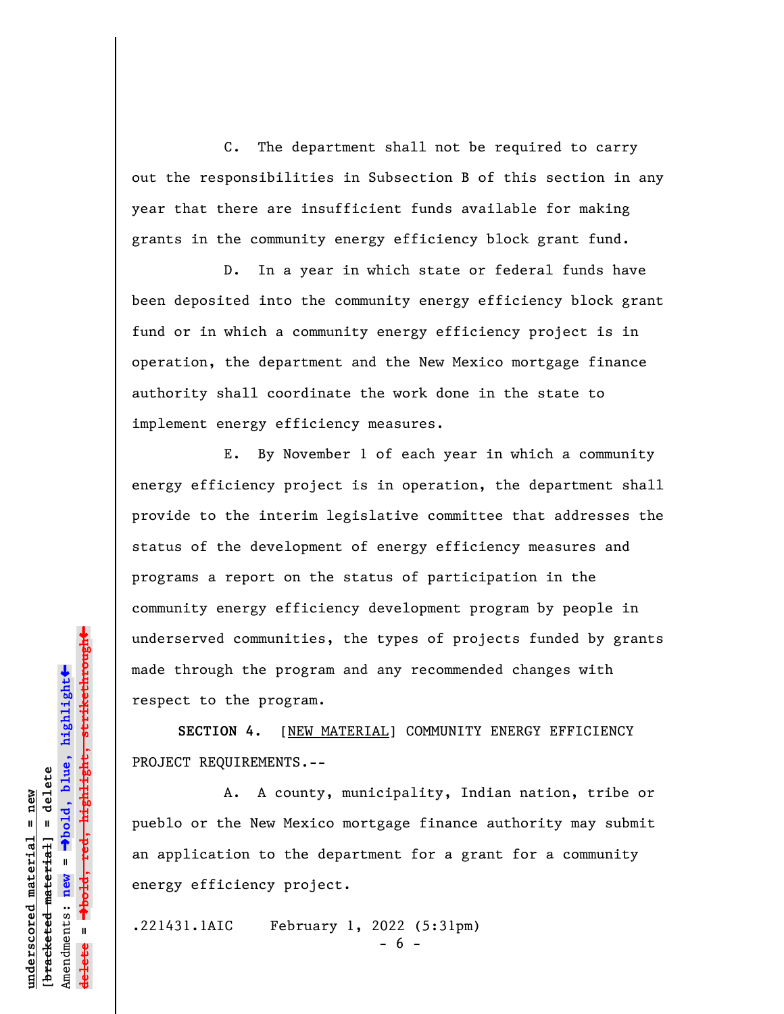C. The department shall not be required to carry out the responsibilities in Subsection B of this section in any year that there are insufficient funds available for making grants in the community energy efficiency block grant fund.

D. In a year in which state or federal funds have been deposited into the community energy efficiency block grant fund or in which a community energy efficiency project is in operation, the department and the New Mexico mortgage finance authority shall coordinate the work done in the state to implement energy efficiency measures.

E. By November 1 of each year in which a community energy efficiency project is in operation, the department shall provide to the interim legislative committee that addresses the status of the development of energy efficiency measures and programs a report on the status of participation in the community energy efficiency development program by people in underserved communities, the types of projects funded by grants made through the program and any recommended changes with respect to the program.

**SECTION 4.** [NEW MATERIAL] COMMUNITY ENERGY EFFICIENCY PROJECT REQUIREMENTS.--

A. A county, municipality, Indian nation, tribe or pueblo or the New Mexico mortgage finance authority may submit an application to the department for a grant for a community energy efficiency project.

.221431.1AIC February 1, 2022 (5:31pm)

- 6 -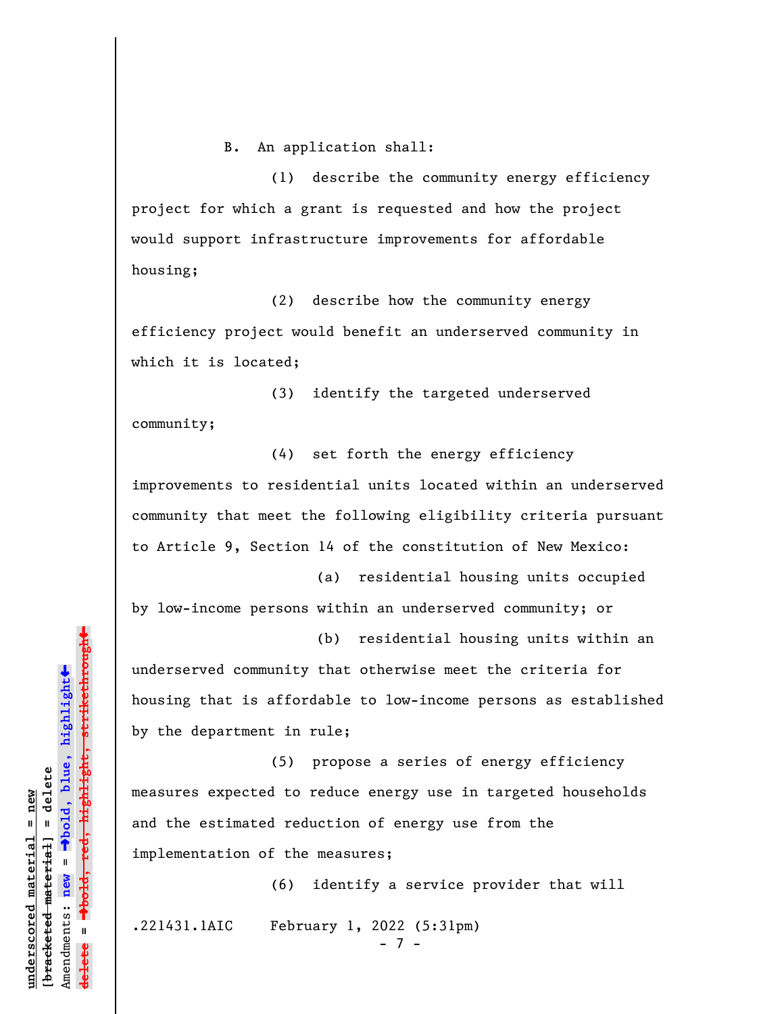B. An application shall:

(1) describe the community energy efficiency project for which a grant is requested and how the project would support infrastructure improvements for affordable housing;

(2) describe how the community energy efficiency project would benefit an underserved community in which it is located;

(3) identify the targeted underserved community;

(4) set forth the energy efficiency improvements to residential units located within an underserved community that meet the following eligibility criteria pursuant to Article 9, Section 14 of the constitution of New Mexico:

(a) residential housing units occupied by low-income persons within an underserved community; or

(b) residential housing units within an underserved community that otherwise meet the criteria for housing that is affordable to low-income persons as established by the department in rule;

(5) propose a series of energy efficiency measures expected to reduce energy use in targeted households and the estimated reduction of energy use from the implementation of the measures;

(6) identify a service provider that will .221431.1AIC February 1, 2022 (5:31pm) - 7 -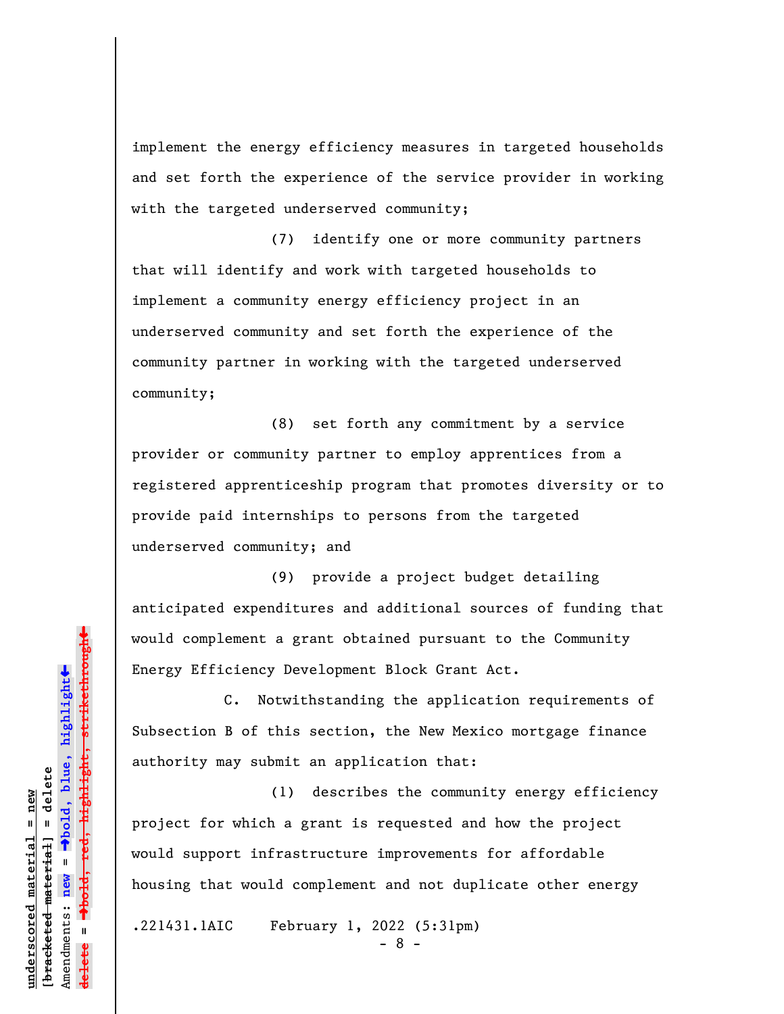implement the energy efficiency measures in targeted households and set forth the experience of the service provider in working with the targeted underserved community;

(7) identify one or more community partners that will identify and work with targeted households to implement a community energy efficiency project in an underserved community and set forth the experience of the community partner in working with the targeted underserved community;

(8) set forth any commitment by a service provider or community partner to employ apprentices from a registered apprenticeship program that promotes diversity or to provide paid internships to persons from the targeted underserved community; and

(9) provide a project budget detailing anticipated expenditures and additional sources of funding that would complement a grant obtained pursuant to the Community Energy Efficiency Development Block Grant Act.

C. Notwithstanding the application requirements of Subsection B of this section, the New Mexico mortgage finance authority may submit an application that:

(1) describes the community energy efficiency project for which a grant is requested and how the project would support infrastructure improvements for affordable housing that would complement and not duplicate other energy

.221431.1AIC February 1, 2022 (5:31pm)

- 8 -

 $\ddag$ º**bold, red, highlight, strikethrough**  $\ddot{\bullet}$ º**bold, blue, highlight** bracketed material] = delete **[bracketed material] = delete** inderscored material = new **underscored material = new** Amendments: **new** =  $\bar{\mathbf{u}}$ Amendments: new **delete =**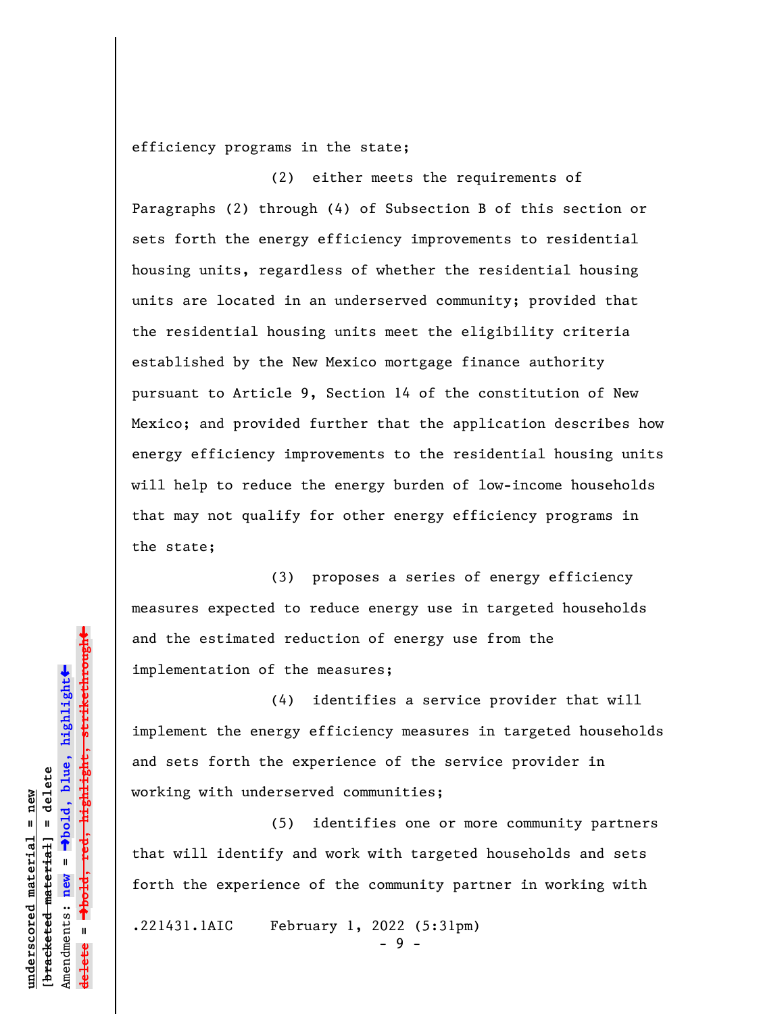efficiency programs in the state;

(2) either meets the requirements of Paragraphs (2) through (4) of Subsection B of this section or sets forth the energy efficiency improvements to residential housing units, regardless of whether the residential housing units are located in an underserved community; provided that the residential housing units meet the eligibility criteria established by the New Mexico mortgage finance authority pursuant to Article 9, Section 14 of the constitution of New Mexico; and provided further that the application describes how energy efficiency improvements to the residential housing units will help to reduce the energy burden of low-income households that may not qualify for other energy efficiency programs in the state;

(3) proposes a series of energy efficiency measures expected to reduce energy use in targeted households and the estimated reduction of energy use from the implementation of the measures;

(4) identifies a service provider that will implement the energy efficiency measures in targeted households and sets forth the experience of the service provider in working with underserved communities;

(5) identifies one or more community partners that will identify and work with targeted households and sets forth the experience of the community partner in working with

.221431.1AIC February 1, 2022 (5:31pm)

- 9 -

 $\ddag$ º**bold, red, highlight, strikethrough**  $\ddot{\bullet}$ º**bold, blue, highlight** bracketed material] = delete **[bracketed material] = delete** inderscored material = new **underscored material = new** Amendments: **new** =  $\bar{\mathbf{u}}$ Amendments: new **delete =**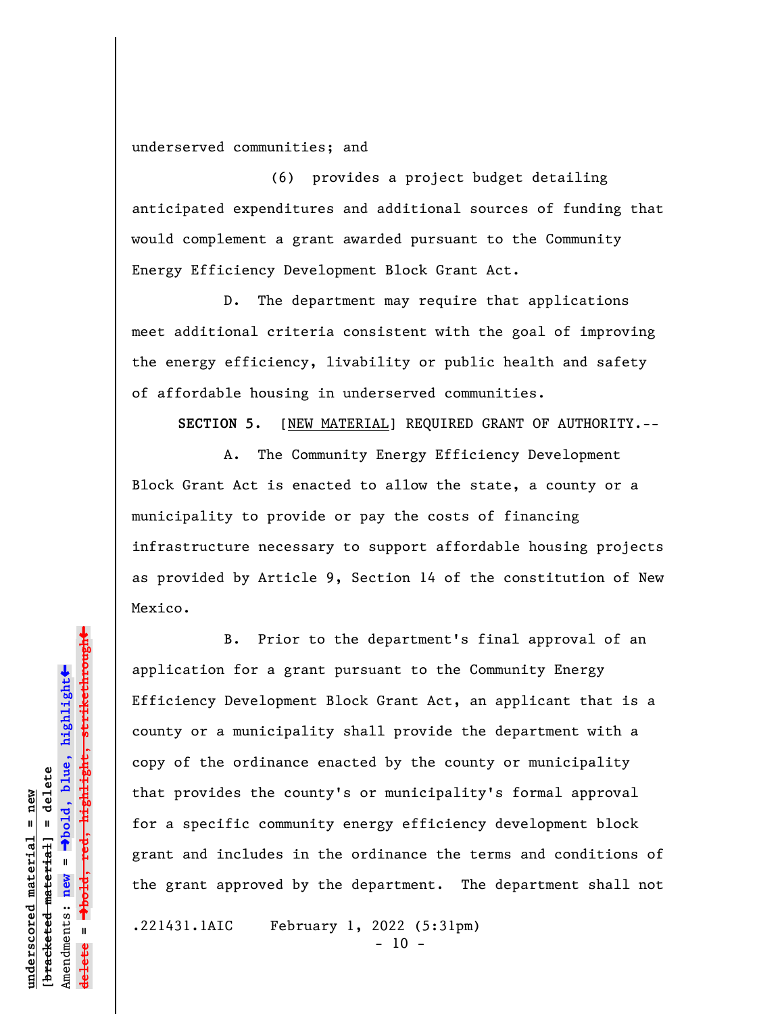underserved communities; and

(6) provides a project budget detailing anticipated expenditures and additional sources of funding that would complement a grant awarded pursuant to the Community Energy Efficiency Development Block Grant Act.

D. The department may require that applications meet additional criteria consistent with the goal of improving the energy efficiency, livability or public health and safety of affordable housing in underserved communities.

**SECTION 5.** [NEW MATERIAL] REQUIRED GRANT OF AUTHORITY.--

A. The Community Energy Efficiency Development Block Grant Act is enacted to allow the state, a county or a municipality to provide or pay the costs of financing infrastructure necessary to support affordable housing projects as provided by Article 9, Section 14 of the constitution of New Mexico.

B. Prior to the department's final approval of an application for a grant pursuant to the Community Energy Efficiency Development Block Grant Act, an applicant that is a county or a municipality shall provide the department with a copy of the ordinance enacted by the county or municipality that provides the county's or municipality's formal approval for a specific community energy efficiency development block grant and includes in the ordinance the terms and conditions of the grant approved by the department. The department shall not

.221431.1AIC February 1, 2022 (5:31pm)

 $- 10 -$ 

»highlight, strikethrough º**bold, red, highlight, strikethrough**  $\ddot{\bullet}$ º**bold, blue, highlight** bracketed material] = delete **[bracketed material] = delete** inderscored material = new **underscored material = new** Amendments: **new** =  $\bar{\mathbf{u}}$ Amendments: new **delete =**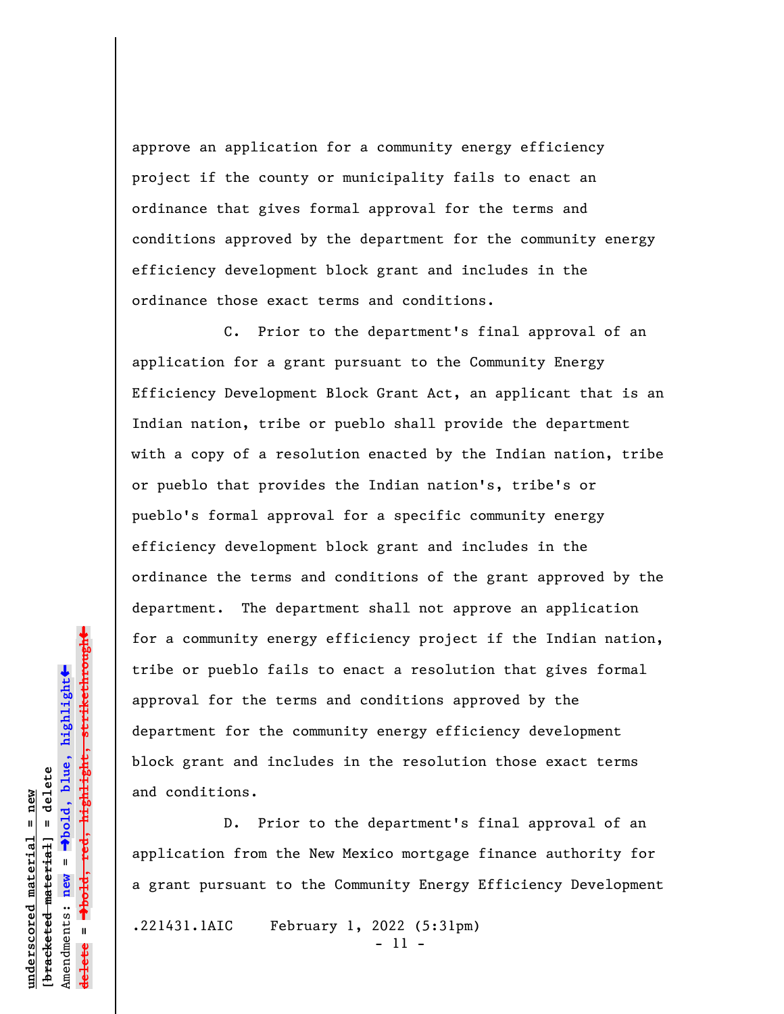approve an application for a community energy efficiency project if the county or municipality fails to enact an ordinance that gives formal approval for the terms and conditions approved by the department for the community energy efficiency development block grant and includes in the ordinance those exact terms and conditions.

C. Prior to the department's final approval of an application for a grant pursuant to the Community Energy Efficiency Development Block Grant Act, an applicant that is an Indian nation, tribe or pueblo shall provide the department with a copy of a resolution enacted by the Indian nation, tribe or pueblo that provides the Indian nation's, tribe's or pueblo's formal approval for a specific community energy efficiency development block grant and includes in the ordinance the terms and conditions of the grant approved by the department. The department shall not approve an application for a community energy efficiency project if the Indian nation, tribe or pueblo fails to enact a resolution that gives formal approval for the terms and conditions approved by the department for the community energy efficiency development block grant and includes in the resolution those exact terms and conditions.

D. Prior to the department's final approval of an application from the New Mexico mortgage finance authority for a grant pursuant to the Community Energy Efficiency Development .221431.1AIC February 1, 2022 (5:31pm)

- 11 -

 $\ddag$ º**bold, red, highlight, strikethrough**  $\ddot{\bullet}$ º**bold, blue, highlight**  $b$ racketed material] = delete **[bracketed material] = delete** inderscored material = new **underscored material = new** Amendments: **new** =  $\bar{\mathbf{u}}$ Amendments: new **delete =**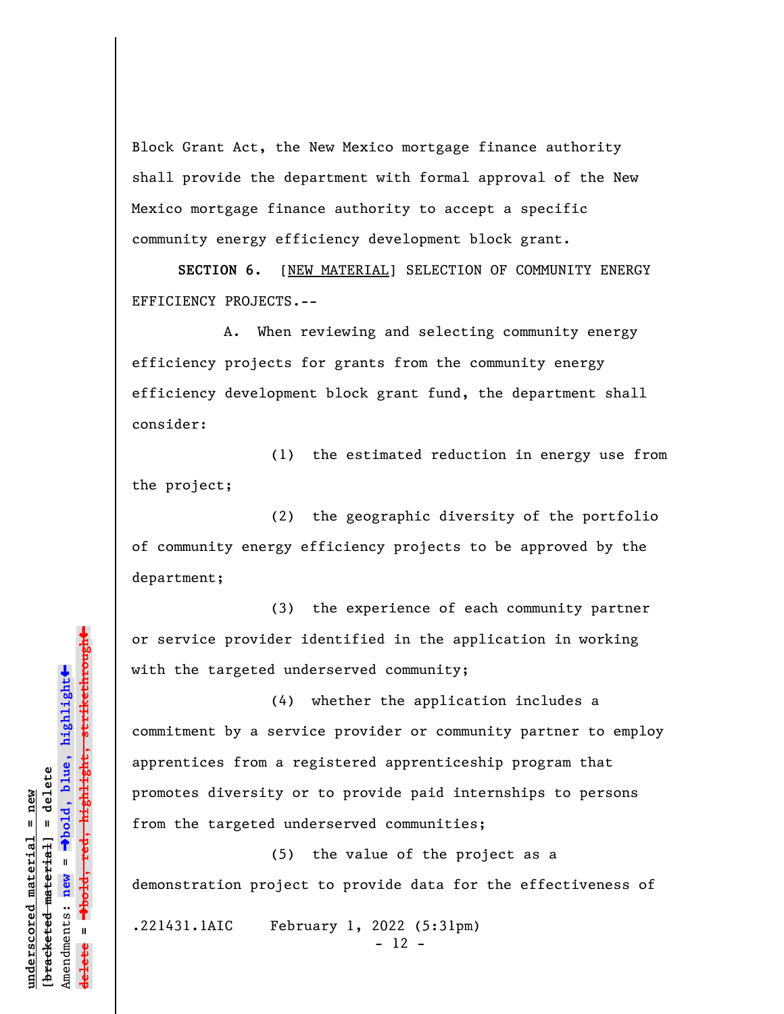Block Grant Act, the New Mexico mortgage finance authority shall provide the department with formal approval of the New Mexico mortgage finance authority to accept a specific community energy efficiency development block grant.

**SECTION 6.** [NEW MATERIAL] SELECTION OF COMMUNITY ENERGY EFFICIENCY PROJECTS.--

A. When reviewing and selecting community energy efficiency projects for grants from the community energy efficiency development block grant fund, the department shall consider:

(1) the estimated reduction in energy use from the project;

(2) the geographic diversity of the portfolio of community energy efficiency projects to be approved by the department;

(3) the experience of each community partner or service provider identified in the application in working with the targeted underserved community;

(4) whether the application includes a commitment by a service provider or community partner to employ apprentices from a registered apprenticeship program that promotes diversity or to provide paid internships to persons from the targeted underserved communities;

(5) the value of the project as a demonstration project to provide data for the effectiveness of

.221431.1AIC February 1, 2022 (5:31pm)

- 12 -

»highlight, strikethrough º**bold, red, highlight, strikethrough**  $\ddot{\bullet}$ º**bold, blue, highlight** bracketed material] = delete **[bracketed material] = delete** inderscored material = new **underscored material = new** Amendments: **new** =  $\bar{\mathbf{u}}$ Amendments: new **delete =**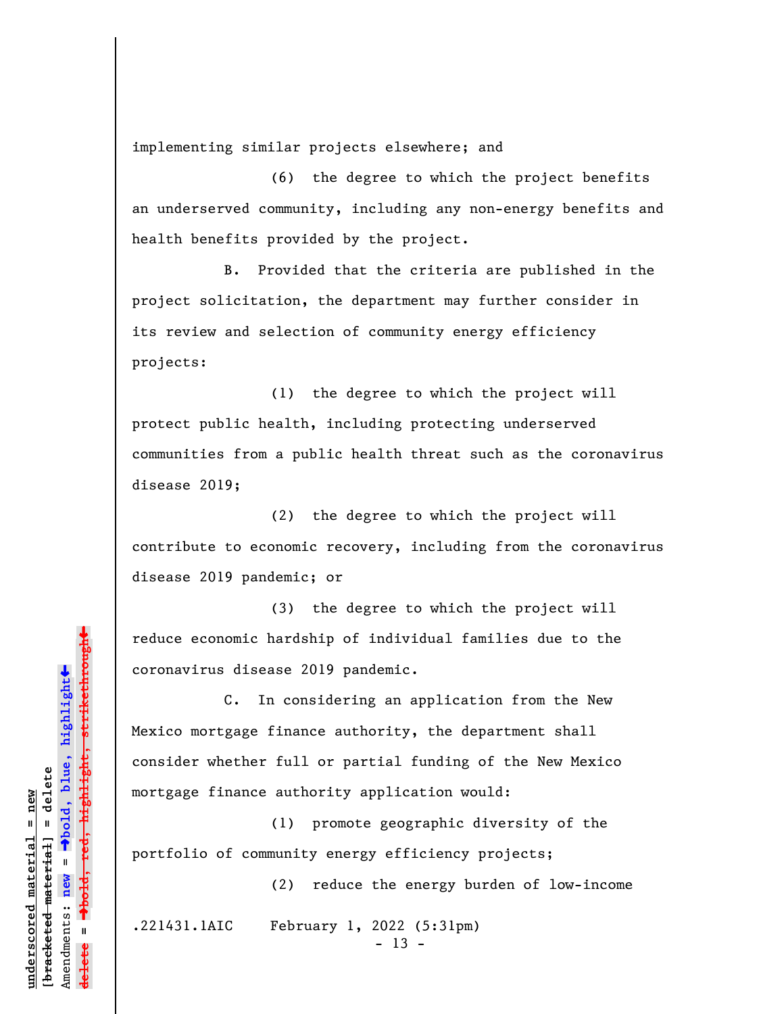implementing similar projects elsewhere; and

(6) the degree to which the project benefits an underserved community, including any non-energy benefits and health benefits provided by the project.

B. Provided that the criteria are published in the project solicitation, the department may further consider in its review and selection of community energy efficiency projects:

(1) the degree to which the project will protect public health, including protecting underserved communities from a public health threat such as the coronavirus disease 2019;

(2) the degree to which the project will contribute to economic recovery, including from the coronavirus disease 2019 pandemic; or

(3) the degree to which the project will reduce economic hardship of individual families due to the coronavirus disease 2019 pandemic.

C. In considering an application from the New Mexico mortgage finance authority, the department shall consider whether full or partial funding of the New Mexico mortgage finance authority application would:

(1) promote geographic diversity of the portfolio of community energy efficiency projects;

(2) reduce the energy burden of low-income

.221431.1AIC February 1, 2022 (5:31pm)

 $- 13 -$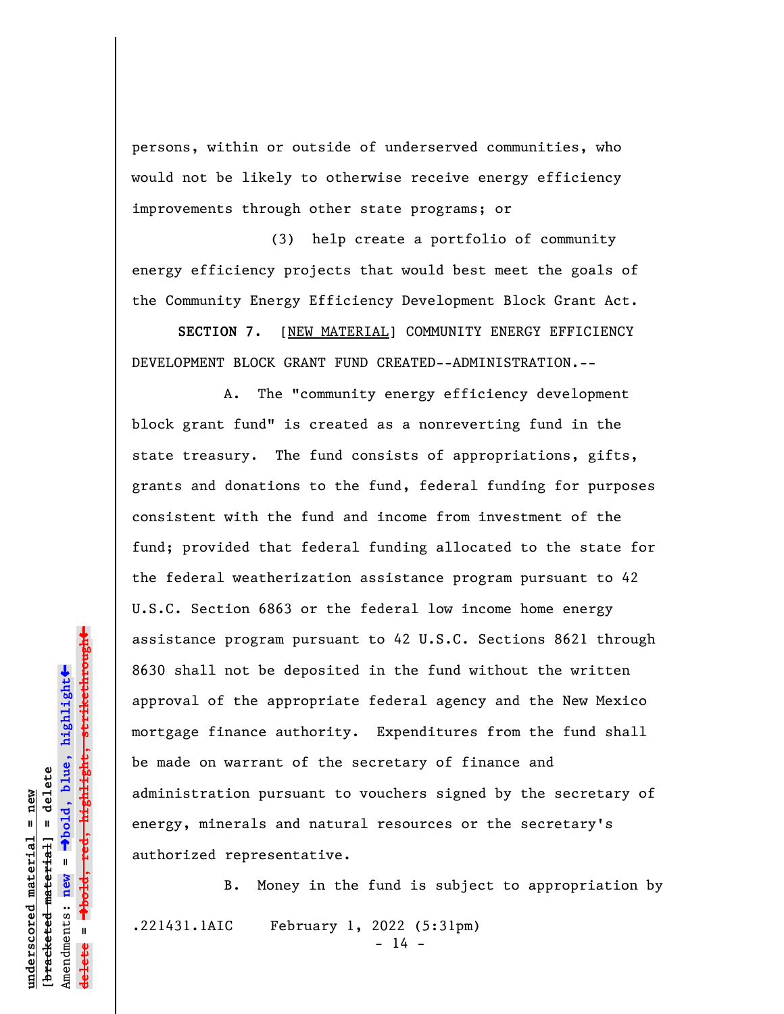persons, within or outside of underserved communities, who would not be likely to otherwise receive energy efficiency improvements through other state programs; or

(3) help create a portfolio of community energy efficiency projects that would best meet the goals of the Community Energy Efficiency Development Block Grant Act.

**SECTION 7.** [NEW MATERIAL] COMMUNITY ENERGY EFFICIENCY DEVELOPMENT BLOCK GRANT FUND CREATED--ADMINISTRATION.--

A. The "community energy efficiency development block grant fund" is created as a nonreverting fund in the state treasury. The fund consists of appropriations, gifts, grants and donations to the fund, federal funding for purposes consistent with the fund and income from investment of the fund; provided that federal funding allocated to the state for the federal weatherization assistance program pursuant to 42 U.S.C. Section 6863 or the federal low income home energy assistance program pursuant to 42 U.S.C. Sections 8621 through 8630 shall not be deposited in the fund without the written approval of the appropriate federal agency and the New Mexico mortgage finance authority. Expenditures from the fund shall be made on warrant of the secretary of finance and administration pursuant to vouchers signed by the secretary of energy, minerals and natural resources or the secretary's authorized representative.

B. Money in the fund is subject to appropriation by .221431.1AIC February 1, 2022 (5:31pm)  $- 14 -$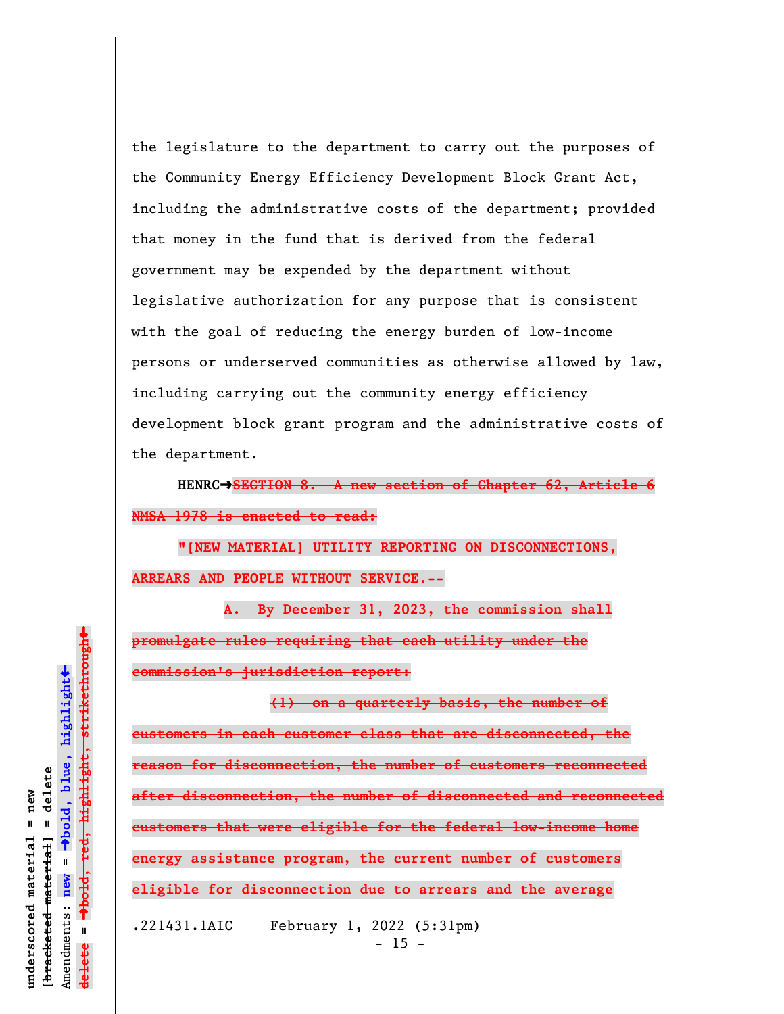the legislature to the department to carry out the purposes of the Community Energy Efficiency Development Block Grant Act, including the administrative costs of the department; provided that money in the fund that is derived from the federal government may be expended by the department without legislative authorization for any purpose that is consistent with the goal of reducing the energy burden of low-income persons or underserved communities as otherwise allowed by law, including carrying out the community energy efficiency development block grant program and the administrative costs of the department.

HENRC $\rightarrow$ SECTION 8. A new section of Chapter 62, Article **NMSA 1978 is enacted to read:**

**"[NEW MATERIAL] UTILITY REPORTING ON DISCONNECTIONS, ARREARS AND PEOPLE WITHOUT SERVICE.--**

**A. By December 31, 2023, the commission shall promulgate rules requiring that each utility under the commission's jurisdiction report:**

**(1) on a quarterly basis, the number of customers in each customer class that are disconnected, the reason for disconnection, the number of customers reconnected after disconnection, the number of disconnected and reconnected customers that were eligible for the federal low-income home energy assistance program, the current number of customers eligible for disconnection due to arrears and the average** .221431.1AIC February 1, 2022 (5:31pm)

 $\ddag$ º**bold, red, highlight, strikethrough**  $\ddot{\bullet}$ º**bold, blue, highlight**  $b$ racketed material] = delete **[bracketed material] = delete** inderscored material = new **underscored material = new** Amendments: **new** =  $\bar{\mathbf{u}}$ Amendments: new  $\mathbf{u}$ **delete =** lelete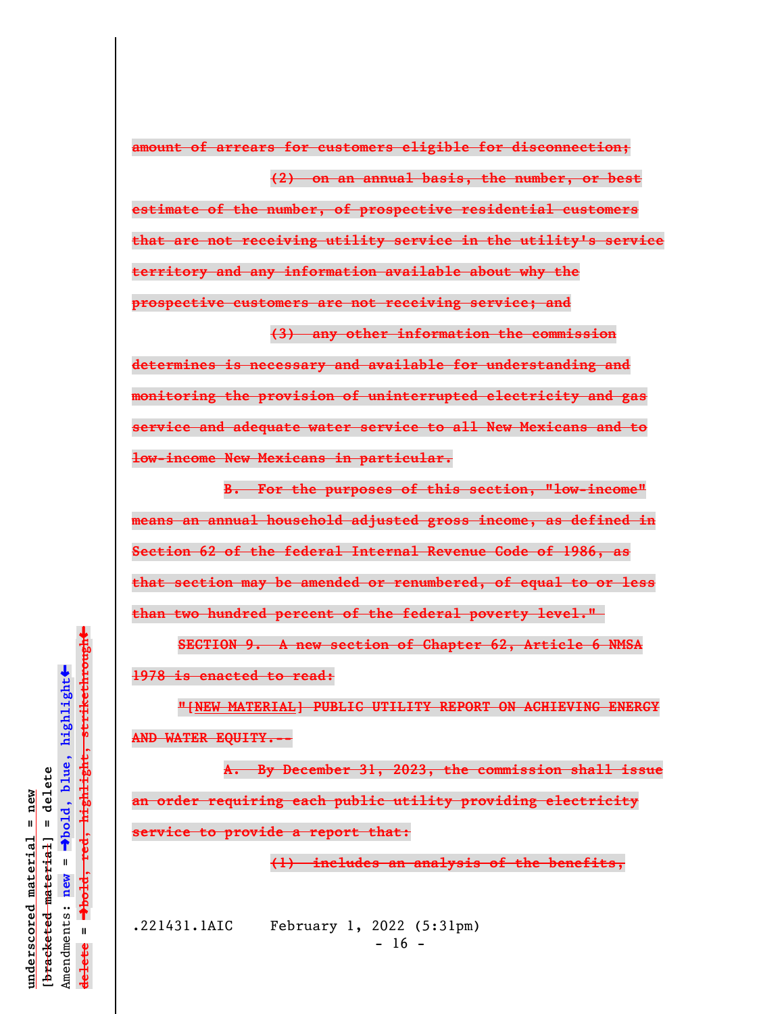**amount of arrears for customers eligible for disconnection; (2) on an annual basis, the number, or best estimate of the number, of prospective residential customers**

**that are not receiving utility service in the utility's service territory and any information available about why the prospective customers are not receiving service; and**

**(3) any other information the commission determines is necessary and available for understanding and monitoring the provision of uninterrupted electricity and gas service and adequate water service to all New Mexicans and to low-income New Mexicans in particular.**

**B. For the purposes of this section, "low-income" means an annual household adjusted gross income, as defined in Section 62 of the federal Internal Revenue Code of 1986, as that section may be amended or renumbered, of equal to or less than two hundred percent of the federal poverty level."** 

**SECTION 9. A new section of Chapter 62, Article 6 NMSA 1978 is enacted to read:**

**"[NEW MATERIAL] PUBLIC UTILITY REPORT ON ACHIEVING ENERGY AND WATER EQUITY.--**

**A. By December 31, 2023, the commission shall issue an order requiring each public utility providing electricity service to provide a report that:**

**(1) includes an analysis of the benefits,**

.221431.1AIC February 1, 2022 (5:31pm)  $- 16 -$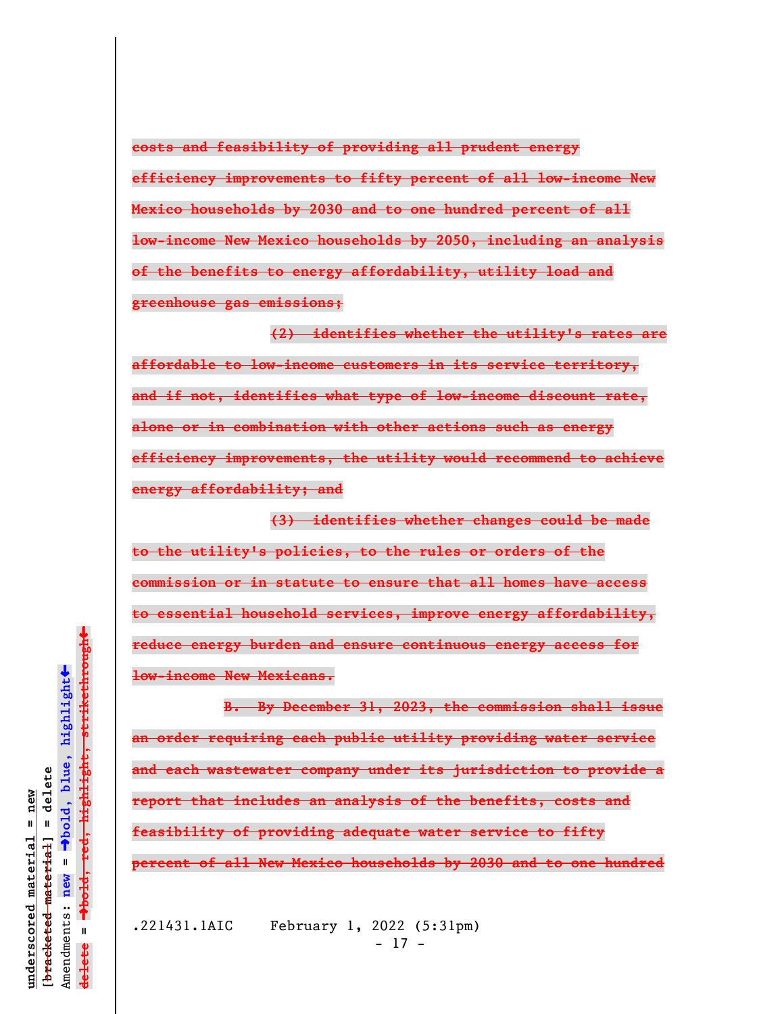**costs and feasibility of providing all prudent energy**

**efficiency improvements to fifty percent of all low-income New Mexico households by 2030 and to one hundred percent of all low-income New Mexico households by 2050, including an analysis of the benefits to energy affordability, utility load and greenhouse gas emissions;**

**(2) identifies whether the utility's rates are affordable to low-income customers in its service territory, and if not, identifies what type of low-income discount rate, alone or in combination with other actions such as energy efficiency improvements, the utility would recommend to achieve energy affordability; and**

**(3) identifies whether changes could be made to the utility's policies, to the rules or orders of the commission or in statute to ensure that all homes have access to essential household services, improve energy affordability, reduce energy burden and ensure continuous energy access for low-income New Mexicans.**

**B. By December 31, 2023, the commission shall issue an order requiring each public utility providing water service and each wastewater company under its jurisdiction to provide a report that includes an analysis of the benefits, costs and feasibility of providing adequate water service to fifty percent of all New Mexico households by 2030 and to one hundred**

.221431.1AIC February 1, 2022 (5:31pm) - 17 -

 $\ddag$ º**bold, red, highlight, strikethrough**  $\ddot{\bullet}$ º**bold, blue, highlight**  $\frac{1}{2}$ bracketed material = delete **[bracketed material] = delete** inderscored material = new **underscored material = new** Amendments: **new** =  $\bar{\mathbf{u}}$ Amendments: new  $\mathbf{I}$ **delete =** lelete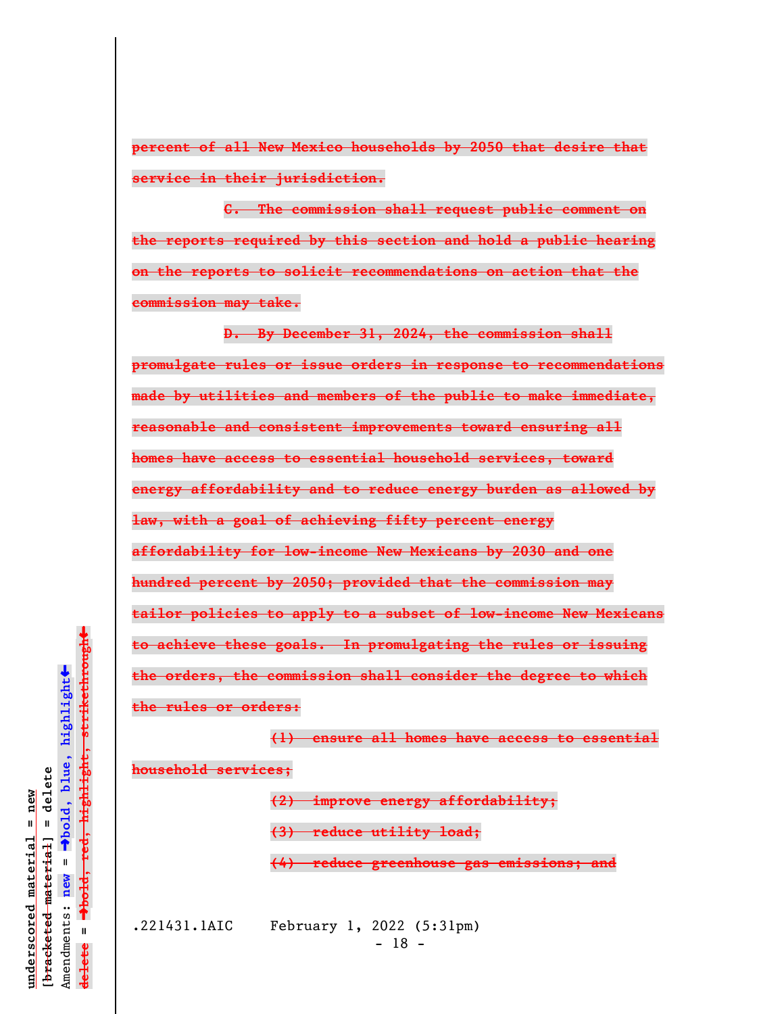**percent of all New Mexico households by 2050 that desire that service in their jurisdiction.**

**C. The commission shall request public comment on the reports required by this section and hold a public hearing on the reports to solicit recommendations on action that the commission may take.**

**D. By December 31, 2024, the commission shall promulgate rules or issue orders in response to recommendations made by utilities and members of the public to make immediate, reasonable and consistent improvements toward ensuring all homes have access to essential household services, toward energy affordability and to reduce energy burden as allowed by law, with a goal of achieving fifty percent energy affordability for low-income New Mexicans by 2030 and one hundred percent by 2050; provided that the commission may tailor policies to apply to a subset of low-income New Mexicans to achieve these goals. In promulgating the rules or issuing the orders, the commission shall consider the degree to which the rules or orders:**

**(1) ensure all homes have access to essential household services; (2) improve energy affordability;**

**(3) reduce utility load;**

**(4) reduce greenhouse gas emissions; and**

.221431.1AIC February 1, 2022 (5:31pm) - 18 -

º**bold, red, highlight, strikethrough**  $\ddot{\bullet}$ º**bold, blue, highlight**  $\frac{1}{2}$ bracketed material = delete **[bracketed material] = delete** inderscored material = new **underscored material = new** Amendments: **new** =  $\bar{\mathbf{u}}$ Amendments: new  $\mathbf{u}$ **delete =** lelete

 $\ddag$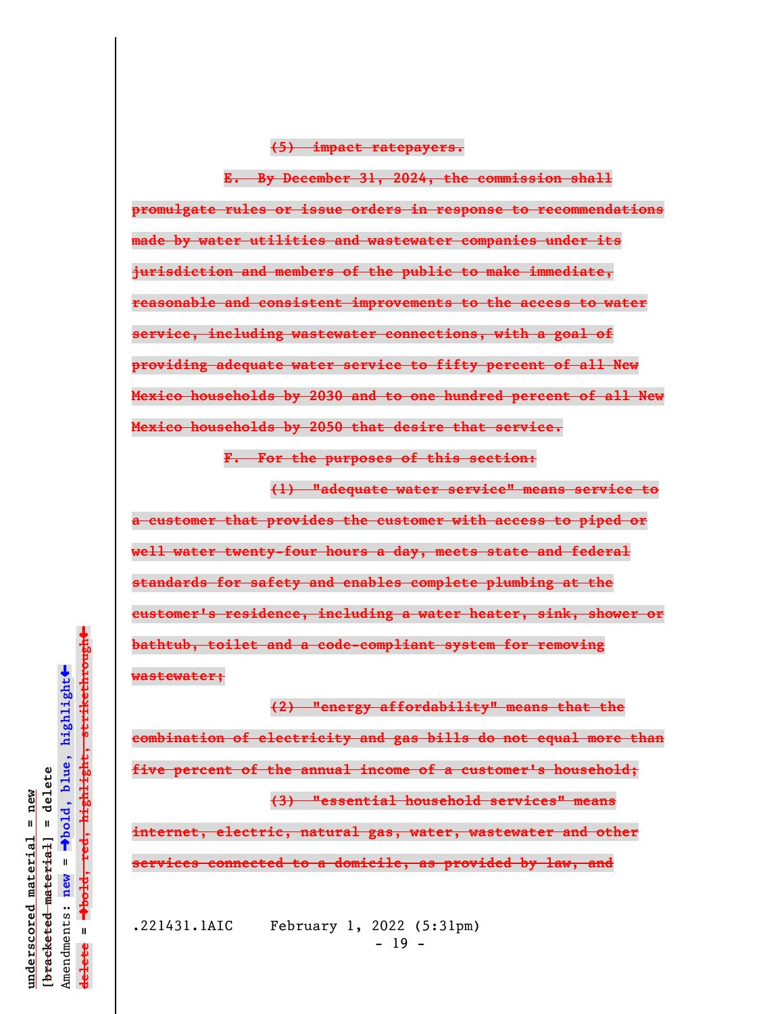## **(5) impact ratepayers.**

**E. By December 31, 2024, the commission shall promulgate rules or issue orders in response to recommendations made by water utilities and wastewater companies under its jurisdiction and members of the public to make immediate, reasonable and consistent improvements to the access to water service, including wastewater connections, with a goal of providing adequate water service to fifty percent of all New Mexico households by 2030 and to one hundred percent of all New Mexico households by 2050 that desire that service.**

**F. For the purposes of this section:**

**(1) "adequate water service" means service to a customer that provides the customer with access to piped or well water twenty-four hours a day, meets state and federal standards for safety and enables complete plumbing at the customer's residence, including a water heater, sink, shower or bathtub, toilet and a code-compliant system for removing wastewater;**

**(2) "energy affordability" means that the combination of electricity and gas bills do not equal more than five percent of the annual income of a customer's household; (3) "essential household services" means internet, electric, natural gas, water, wastewater and other services connected to a domicile, as provided by law, and**

.221431.1AIC February 1, 2022 (5:31pm)  $- 19 -$ 

 $\ddag$ º**bold, red, highlight, strikethrough**  $\ddot{\bullet}$ º**bold, blue, highlight**  $\frac{1}{2}$ bracketed material = delete **[bracketed material] = delete** inderscored material = new **underscored material = new** Amendments: **new** =  $\mathbf{I}$ Amendments: new  $\mathbf{I}$ **delete =** lelete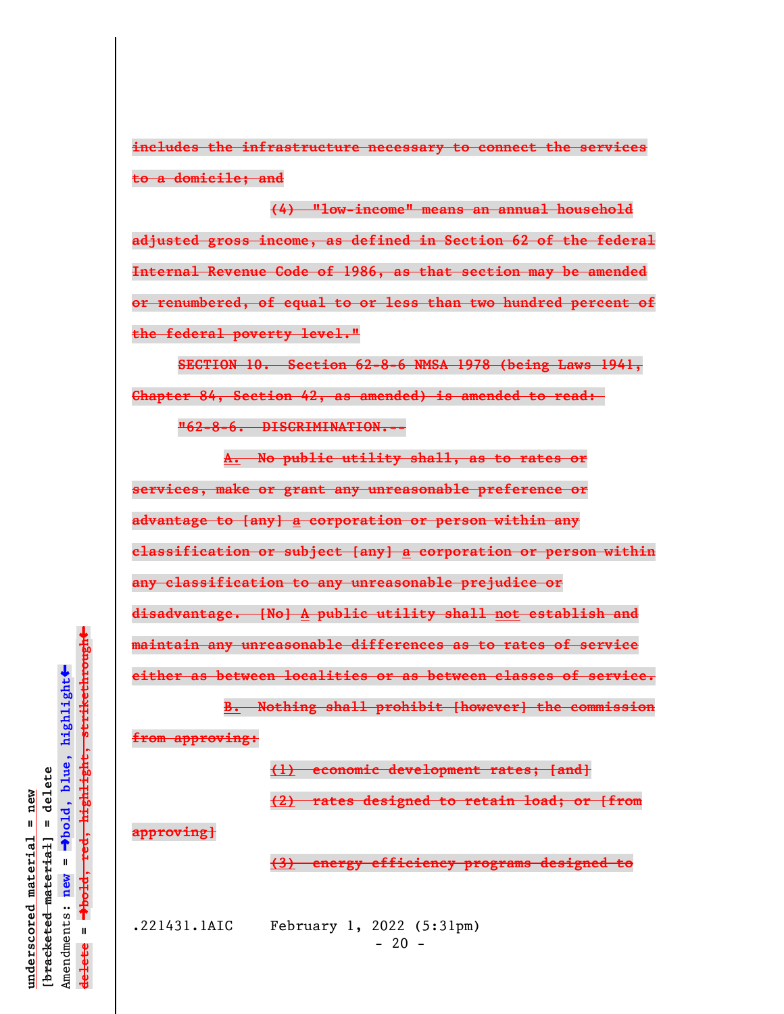**includes the infrastructure necessary to connect the services to a domicile; and**

**(4) "low-income" means an annual household adjusted gross income, as defined in Section 62 of the federal Internal Revenue Code of 1986, as that section may be amended or renumbered, of equal to or less than two hundred percent of the federal poverty level."**

**SECTION 10. Section 62-8-6 NMSA 1978 (being Laws 1941, Chapter 84, Section 42, as amended) is amended to read: "62-8-6. DISCRIMINATION.--**

**A. No public utility shall, as to rates or services, make or grant any unreasonable preference or advantage to [any] a corporation or person within any classification or subject [any] a corporation or person within any classification to any unreasonable prejudice or disadvantage. [No] A public utility shall not establish and maintain any unreasonable differences as to rates of service either as between localities or as between classes of service.**

**B. Nothing shall prohibit [however] the commission from approving:**

**(1) economic development rates; [and]**

**(2) rates designed to retain load; or [from**

**approving]**

**(3) energy efficiency programs designed to**

.221431.1AIC February 1, 2022 (5:31pm)  $- 20 -$ 

 $\ddag$ º**bold, red, highlight, strikethrough**  $\ddot{\bullet}$ º**bold, blue, highlight**  $b$ racketed material] = delete **[bracketed material] = delete** inderscored material = new **underscored material = new** Amendments: **new** =  $\bar{\mathbf{u}}$ Amendments: new  $\mathbf{u}$ **delete =** lelete